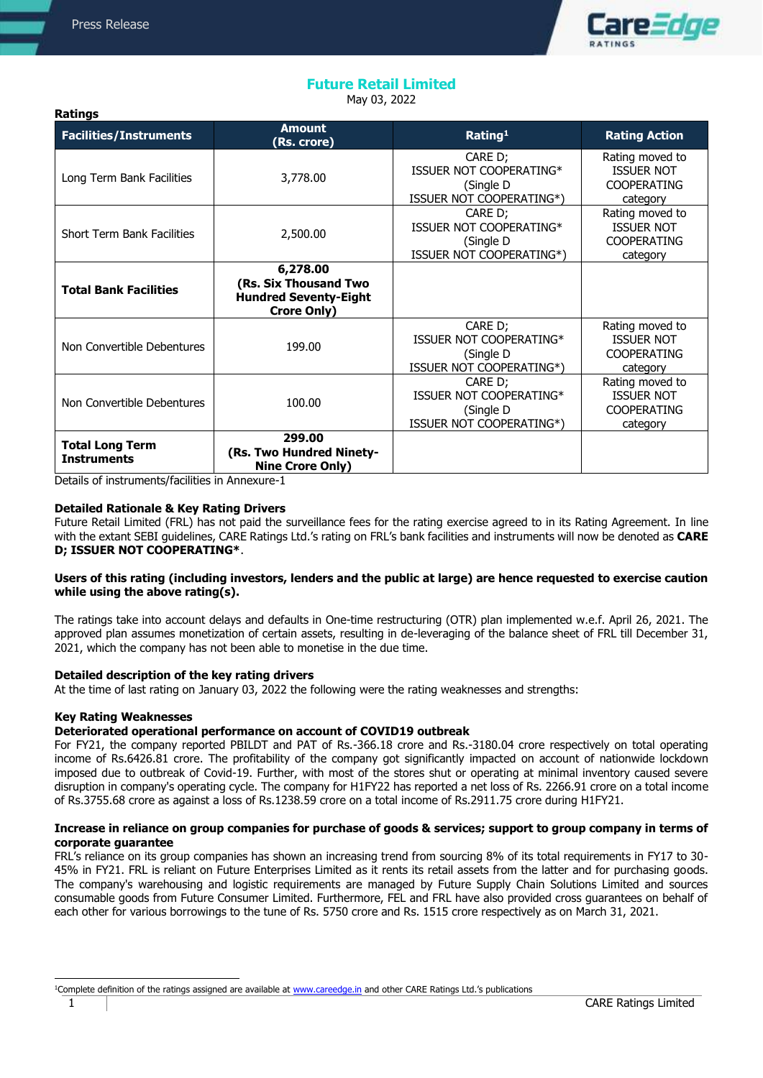**Ratings** 



# **Future Retail Limited**

May 03, 2022

| <b>Facilities/Instruments</b>                | <b>Amount</b><br>(Rs. crore)                                                            | Rating <sup>1</sup>                                                          | <b>Rating Action</b>                                                   |
|----------------------------------------------|-----------------------------------------------------------------------------------------|------------------------------------------------------------------------------|------------------------------------------------------------------------|
| Long Term Bank Facilities                    | 3,778.00                                                                                | CARE D;<br>ISSUER NOT COOPERATING*<br>(Single D<br>ISSUER NOT COOPERATING*)  | Rating moved to<br><b>ISSUER NOT</b><br><b>COOPERATING</b><br>category |
| <b>Short Term Bank Facilities</b>            | 2,500.00                                                                                | CARE D;<br>ISSUER NOT COOPERATING*<br>(Single D<br>ISSUER NOT COOPERATING*)  | Rating moved to<br><b>ISSUER NOT</b><br><b>COOPERATING</b><br>category |
| <b>Total Bank Facilities</b>                 | 6,278.00<br>(Rs. Six Thousand Two<br><b>Hundred Seventy-Eight</b><br><b>Crore Only)</b> |                                                                              |                                                                        |
| Non Convertible Debentures                   | 199.00                                                                                  |                                                                              | Rating moved to<br><b>ISSUER NOT</b><br><b>COOPERATING</b><br>category |
| Non Convertible Debentures<br>100.00         |                                                                                         | CARE D;<br>ISSUER NOT COOPERATING*<br>(Single D)<br>ISSUER NOT COOPERATING*) | Rating moved to<br><b>ISSUER NOT</b><br><b>COOPERATING</b><br>category |
| <b>Total Long Term</b><br><b>Instruments</b> | 299.00<br>(Rs. Two Hundred Ninety-<br><b>Nine Crore Only)</b>                           |                                                                              |                                                                        |

Details of instruments/facilities in Annexure-1

## **Detailed Rationale & Key Rating Drivers**

Future Retail Limited (FRL) has not paid the surveillance fees for the rating exercise agreed to in its Rating Agreement. In line with the extant SEBI guidelines, CARE Ratings Ltd.'s rating on FRL's bank facilities and instruments will now be denoted as **CARE D; ISSUER NOT COOPERATING\***.

## **Users of this rating (including investors, lenders and the public at large) are hence requested to exercise caution while using the above rating(s).**

The ratings take into account delays and defaults in One-time restructuring (OTR) plan implemented w.e.f. April 26, 2021. The approved plan assumes monetization of certain assets, resulting in de-leveraging of the balance sheet of FRL till December 31, 2021, which the company has not been able to monetise in the due time.

#### **Detailed description of the key rating drivers**

At the time of last rating on January 03, 2022 the following were the rating weaknesses and strengths:

#### **Key Rating Weaknesses**

## **Deteriorated operational performance on account of COVID19 outbreak**

For FY21, the company reported PBILDT and PAT of Rs.-366.18 crore and Rs.-3180.04 crore respectively on total operating income of Rs.6426.81 crore. The profitability of the company got significantly impacted on account of nationwide lockdown imposed due to outbreak of Covid-19. Further, with most of the stores shut or operating at minimal inventory caused severe disruption in company's operating cycle. The company for H1FY22 has reported a net loss of Rs. 2266.91 crore on a total income of Rs.3755.68 crore as against a loss of Rs.1238.59 crore on a total income of Rs.2911.75 crore during H1FY21.

## **Increase in reliance on group companies for purchase of goods & services; support to group company in terms of corporate guarantee**

FRL's reliance on its group companies has shown an increasing trend from sourcing 8% of its total requirements in FY17 to 30- 45% in FY21. FRL is reliant on Future Enterprises Limited as it rents its retail assets from the latter and for purchasing goods. The company's warehousing and logistic requirements are managed by Future Supply Chain Solutions Limited and sources consumable goods from Future Consumer Limited. Furthermore, FEL and FRL have also provided cross guarantees on behalf of each other for various borrowings to the tune of Rs. 5750 crore and Rs. 1515 crore respectively as on March 31, 2021.

j

<sup>&</sup>lt;sup>1</sup>Complete definition of the ratings assigned are available at [www.careedge.in](http://www.careedge.in/) and other CARE Ratings Ltd.'s publications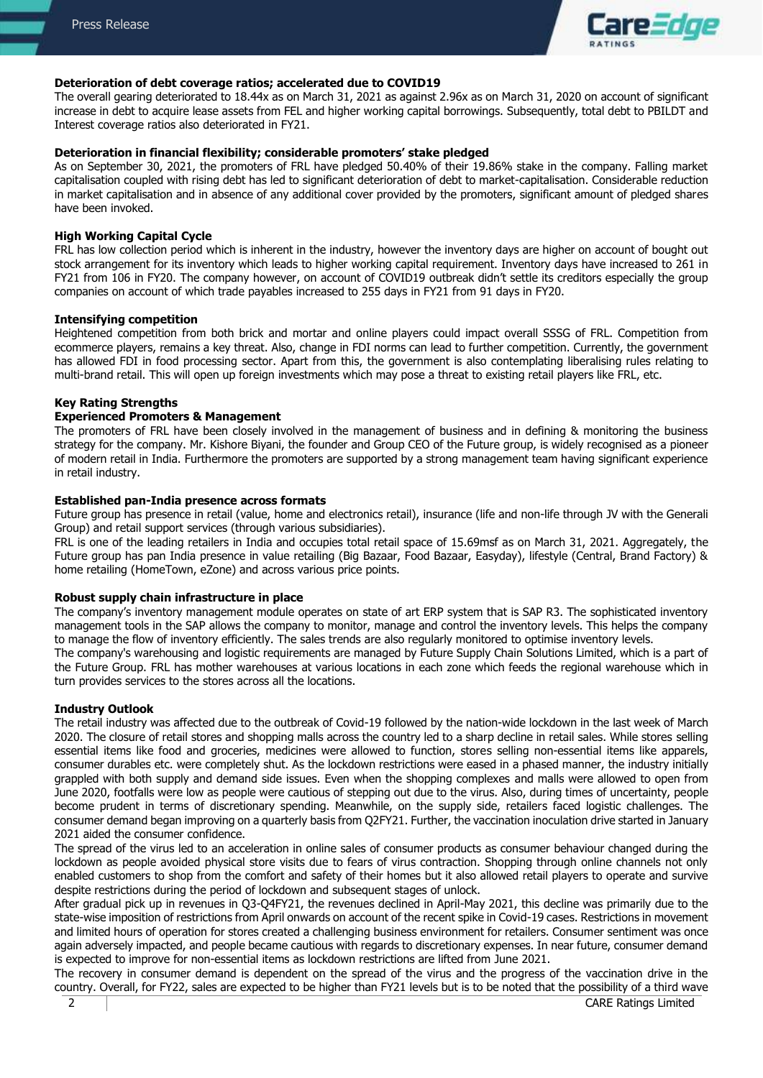

#### **Deterioration of debt coverage ratios; accelerated due to COVID19**

The overall gearing deteriorated to 18.44x as on March 31, 2021 as against 2.96x as on March 31, 2020 on account of significant increase in debt to acquire lease assets from FEL and higher working capital borrowings. Subsequently, total debt to PBILDT and Interest coverage ratios also deteriorated in FY21.

## **Deterioration in financial flexibility; considerable promoters' stake pledged**

As on September 30, 2021, the promoters of FRL have pledged 50.40% of their 19.86% stake in the company. Falling market capitalisation coupled with rising debt has led to significant deterioration of debt to market-capitalisation. Considerable reduction in market capitalisation and in absence of any additional cover provided by the promoters, significant amount of pledged shares have been invoked.

#### **High Working Capital Cycle**

FRL has low collection period which is inherent in the industry, however the inventory days are higher on account of bought out stock arrangement for its inventory which leads to higher working capital requirement. Inventory days have increased to 261 in FY21 from 106 in FY20. The company however, on account of COVID19 outbreak didn't settle its creditors especially the group companies on account of which trade payables increased to 255 days in FY21 from 91 days in FY20.

#### **Intensifying competition**

Heightened competition from both brick and mortar and online players could impact overall SSSG of FRL. Competition from ecommerce players, remains a key threat. Also, change in FDI norms can lead to further competition. Currently, the government has allowed FDI in food processing sector. Apart from this, the government is also contemplating liberalising rules relating to multi-brand retail. This will open up foreign investments which may pose a threat to existing retail players like FRL, etc.

#### **Key Rating Strengths**

#### **Experienced Promoters & Management**

The promoters of FRL have been closely involved in the management of business and in defining & monitoring the business strategy for the company. Mr. Kishore Biyani, the founder and Group CEO of the Future group, is widely recognised as a pioneer of modern retail in India. Furthermore the promoters are supported by a strong management team having significant experience in retail industry.

## **Established pan-India presence across formats**

Future group has presence in retail (value, home and electronics retail), insurance (life and non-life through JV with the Generali Group) and retail support services (through various subsidiaries).

FRL is one of the leading retailers in India and occupies total retail space of 15.69msf as on March 31, 2021. Aggregately, the Future group has pan India presence in value retailing (Big Bazaar, Food Bazaar, Easyday), lifestyle (Central, Brand Factory) & home retailing (HomeTown, eZone) and across various price points.

#### **Robust supply chain infrastructure in place**

The company's inventory management module operates on state of art ERP system that is SAP R3. The sophisticated inventory management tools in the SAP allows the company to monitor, manage and control the inventory levels. This helps the company to manage the flow of inventory efficiently. The sales trends are also regularly monitored to optimise inventory levels.

The company's warehousing and logistic requirements are managed by Future Supply Chain Solutions Limited, which is a part of the Future Group. FRL has mother warehouses at various locations in each zone which feeds the regional warehouse which in turn provides services to the stores across all the locations.

#### **Industry Outlook**

The retail industry was affected due to the outbreak of Covid-19 followed by the nation-wide lockdown in the last week of March 2020. The closure of retail stores and shopping malls across the country led to a sharp decline in retail sales. While stores selling essential items like food and groceries, medicines were allowed to function, stores selling non-essential items like apparels, consumer durables etc. were completely shut. As the lockdown restrictions were eased in a phased manner, the industry initially grappled with both supply and demand side issues. Even when the shopping complexes and malls were allowed to open from June 2020, footfalls were low as people were cautious of stepping out due to the virus. Also, during times of uncertainty, people become prudent in terms of discretionary spending. Meanwhile, on the supply side, retailers faced logistic challenges. The consumer demand began improving on a quarterly basis from Q2FY21. Further, the vaccination inoculation drive started in January 2021 aided the consumer confidence.

The spread of the virus led to an acceleration in online sales of consumer products as consumer behaviour changed during the lockdown as people avoided physical store visits due to fears of virus contraction. Shopping through online channels not only enabled customers to shop from the comfort and safety of their homes but it also allowed retail players to operate and survive despite restrictions during the period of lockdown and subsequent stages of unlock.

After gradual pick up in revenues in Q3-Q4FY21, the revenues declined in April-May 2021, this decline was primarily due to the state-wise imposition of restrictions from April onwards on account of the recent spike in Covid-19 cases. Restrictions in movement and limited hours of operation for stores created a challenging business environment for retailers. Consumer sentiment was once again adversely impacted, and people became cautious with regards to discretionary expenses. In near future, consumer demand is expected to improve for non-essential items as lockdown restrictions are lifted from June 2021.

The recovery in consumer demand is dependent on the spread of the virus and the progress of the vaccination drive in the country. Overall, for FY22, sales are expected to be higher than FY21 levels but is to be noted that the possibility of a third wave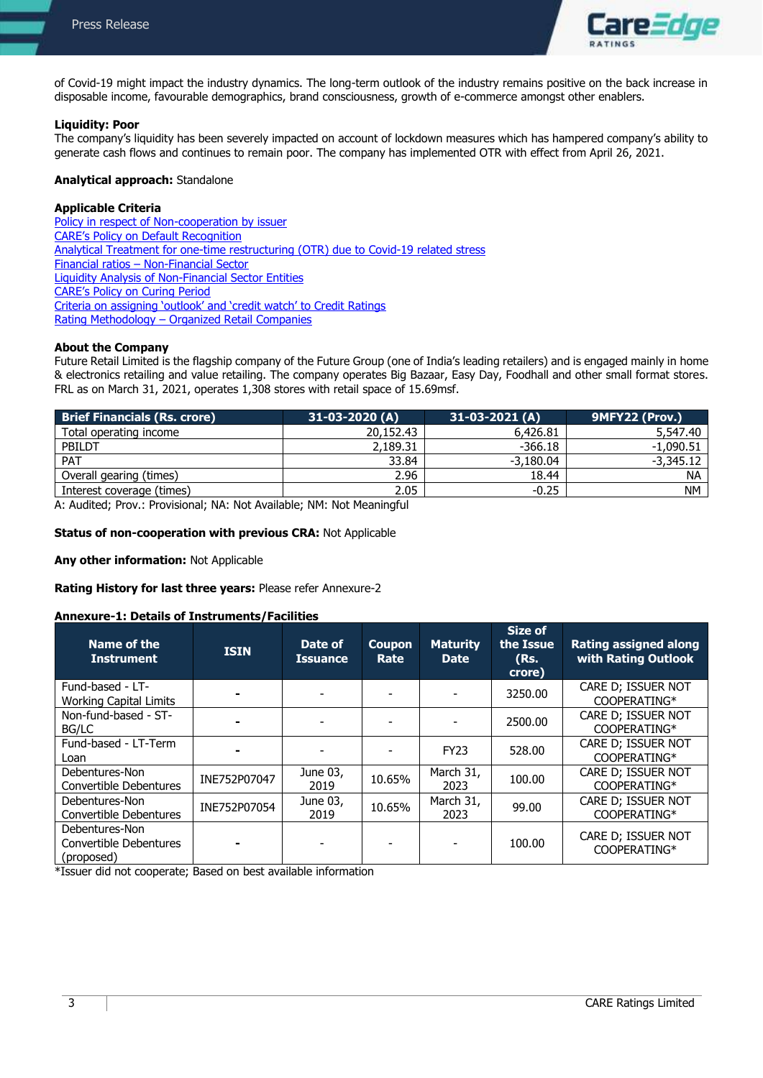

of Covid-19 might impact the industry dynamics. The long-term outlook of the industry remains positive on the back increase in disposable income, favourable demographics, brand consciousness, growth of e-commerce amongst other enablers.

## **Liquidity: Poor**

The company's liquidity has been severely impacted on account of lockdown measures which has hampered company's ability to generate cash flows and continues to remain poor. The company has implemented OTR with effect from April 26, 2021.

## **Analytical approach:** Standalone

## **Applicable Criteria**

[Policy in respect of Non-cooperation by issuer](https://www.careratings.com/pdf/resources/Policy%20in%20respect%20of%20Non-cooperation%20by%20issuer_29%20October%202021.pdf) [CARE's Policy on Default Recognition](https://www.careratings.com/pdf/resources/CARE) [Analytical Treatment for one-time restructuring \(OTR\) due to Covid-19 related stress](https://www.careratings.com/pdf/resources/Analytical%20treatment%20of%20restructuring%20-%20COVID-Revised.pdf) Financial ratios – [Non-Financial Sector](https://www.careratings.com/pdf/resources/Financial%20ratios%20-%20Non%20Financial%20Sector_March2021.pdf) [Liquidity Analysis of Non-Financial Sector Entities](https://www.careratings.com/pdf/resources/Liquidity%20Analysis%20of%20Non%20-%20Financial%20Sector%20entities_May2020.pdf) [CARE's Policy on Curing Period](https://www.careratings.com/pdf/resources/Policy%20on%20curing%20period.pdf) [Criteria on assigning 'outlook' and 'credit watch' to Credit Ratings](https://www.careratings.com/pdf/resources/Rating%20Outlook%20and%20credit%20watch_May2020.pdf) Rating Methodology – [Organized Retail Companies](https://www.careratings.com/upload/NewsFiles/GetRated/RatingMethodology-Organized%20Retail%20Companies_December2020.pdf)

## **About the Company**

Future Retail Limited is the flagship company of the Future Group (one of India's leading retailers) and is engaged mainly in home & electronics retailing and value retailing. The company operates Big Bazaar, Easy Day, Foodhall and other small format stores. FRL as on March 31, 2021, operates 1,308 stores with retail space of 15.69msf.

| <b>Brief Financials (Rs. crore)</b> | $31-03-2020(A)$ | $31-03-2021(A)$ | 9MFY22 (Prov.) |
|-------------------------------------|-----------------|-----------------|----------------|
| Total operating income              | 20,152.43       | 6,426.81        | 5,547.40       |
| PBILDT                              | 2,189.31        | $-366.18$       | $-1,090.51$    |
| PAT                                 | 33.84           | $-3.180.04$     | $-3,345.12$    |
| Overall gearing (times)             | 2.96            | 18.44           | <b>NA</b>      |
| Interest coverage (times)           | 2.05            | $-0.25$         | <b>NM</b>      |

A: Audited; Prov.: Provisional; NA: Not Available; NM: Not Meaningful

#### **Status of non-cooperation with previous CRA:** Not Applicable

**Any other information:** Not Applicable

#### **Rating History for last three years:** Please refer Annexure-2

#### **Annexure-1: Details of Instruments/Facilities**

| Name of the<br><b>Instrument</b>                       | <b>ISIN</b>  | Date of<br><b>Issuance</b> | <b>Coupon</b><br>Rate | <b>Maturity</b><br><b>Date</b> | Size of<br>the Issue<br>(Rs.<br>crore) | <b>Rating assigned along</b><br>with Rating Outlook |
|--------------------------------------------------------|--------------|----------------------------|-----------------------|--------------------------------|----------------------------------------|-----------------------------------------------------|
| Fund-based - LT-<br><b>Working Capital Limits</b>      |              |                            |                       |                                | 3250.00                                | CARE D; ISSUER NOT<br>COOPERATING*                  |
| Non-fund-based - ST-<br>BG/LC                          |              |                            |                       |                                | 2500.00                                | CARE D; ISSUER NOT<br>COOPERATING*                  |
| Fund-based - LT-Term<br>Loan                           |              |                            |                       | <b>FY23</b>                    | 528.00                                 | CARE D; ISSUER NOT<br>COOPERATING*                  |
| Debentures-Non<br>Convertible Debentures               | INE752P07047 | June 03,<br>2019           | 10.65%                | March 31,<br>2023              | 100.00                                 | CARE D; ISSUER NOT<br>COOPERATING*                  |
| Debentures-Non<br>Convertible Debentures               | INE752P07054 | June 03,<br>2019           | 10.65%                | March 31,<br>2023              | 99.00                                  | CARE D; ISSUER NOT<br>COOPERATING*                  |
| Debentures-Non<br>Convertible Debentures<br>(proposed) |              |                            |                       |                                | 100.00                                 | CARE D; ISSUER NOT<br>COOPERATING*                  |

\*Issuer did not cooperate; Based on best available information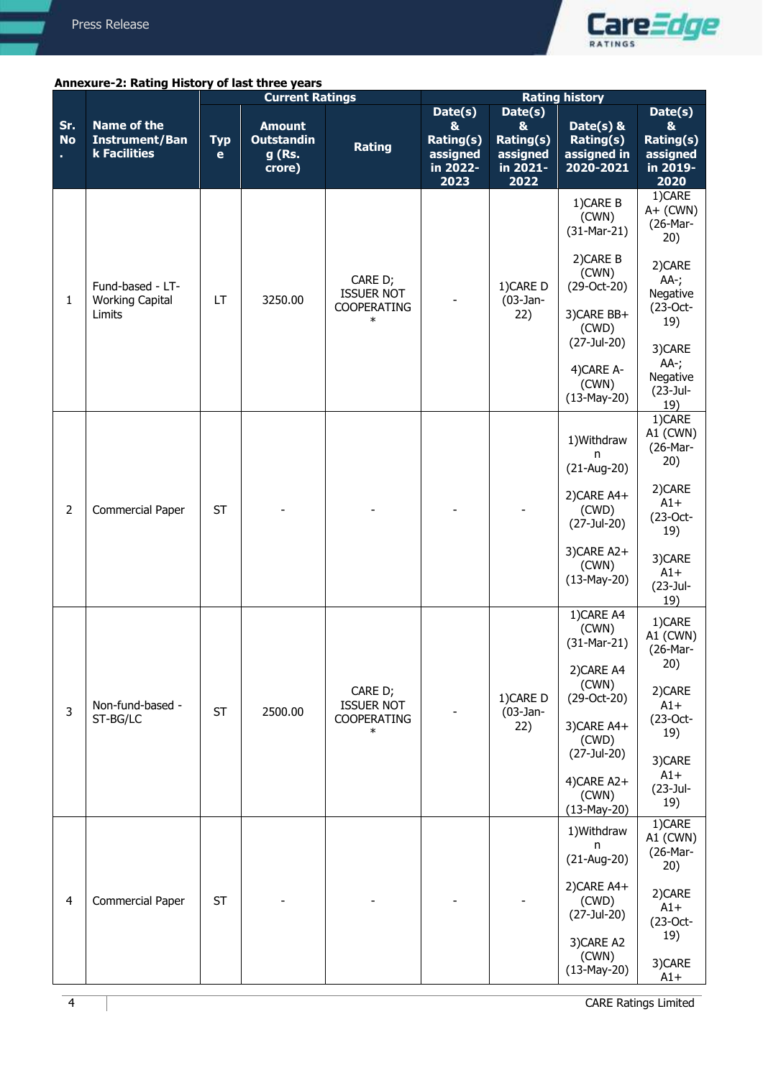

## **Annexure-2: Rating History of last three years**

|                  |                                                             | <b>Current Ratings</b>    |                                                        | <b>Rating history</b>                                        |                                                       |                                                |                                                                                                                                                           |                                                                                                                                               |
|------------------|-------------------------------------------------------------|---------------------------|--------------------------------------------------------|--------------------------------------------------------------|-------------------------------------------------------|------------------------------------------------|-----------------------------------------------------------------------------------------------------------------------------------------------------------|-----------------------------------------------------------------------------------------------------------------------------------------------|
|                  |                                                             |                           |                                                        |                                                              | Date(s)                                               | Date(s)                                        |                                                                                                                                                           | Date(s)                                                                                                                                       |
| Sr.<br><b>No</b> | <b>Name of the</b><br><b>Instrument/Ban</b><br>k Facilities | <b>Typ</b><br>$\mathbf e$ | <b>Amount</b><br><b>Outstandin</b><br>g (Rs.<br>crore) | Rating                                                       | &<br><b>Rating(s)</b><br>assigned<br>in 2022-<br>2023 | &<br>Rating(s)<br>assigned<br>in 2021-<br>2022 | Date( $s$ ) &<br>Rating(s)<br>assigned in<br>2020-2021                                                                                                    | &<br><b>Rating(s)</b><br>assigned<br>in 2019-<br>2020                                                                                         |
| $\mathbf{1}$     | Fund-based - LT-<br><b>Working Capital</b><br>Limits        | LT                        | 3250.00                                                | CARE D;<br><b>ISSUER NOT</b><br>COOPERATING<br>∗             |                                                       | 1) CARE D<br>$(03$ -Jan-<br>22)                | 1) CARE B<br>(CWN)<br>$(31-Mar-21)$<br>2) CARE B<br>(CWN)<br>(29-Oct-20)<br>3) CARE BB+<br>(CWD)<br>(27-Jul-20)<br>4) CARE A-<br>(CWN)<br>$(13-May-20)$   | 1)CARE<br>$A+$ (CWN)<br>(26-Mar-<br>20)<br>2)CARE<br>$AA-;$<br>Negative<br>$(23-Oct-$<br>19)<br>3)CARE<br>AA-;<br>Negative<br>(23-Jul-<br>19) |
| $\overline{2}$   | <b>Commercial Paper</b>                                     | <b>ST</b>                 |                                                        |                                                              |                                                       |                                                | 1) Withdraw<br>n<br>$(21-Aug-20)$<br>2) CARE A4+<br>(CWD)<br>(27-Jul-20)<br>3)CARE A2+<br>(CWN)<br>$(13-May-20)$                                          | 1)CARE<br>A1 (CWN)<br>(26-Mar-<br>20)<br>2)CARE<br>$A1+$<br>(23-Oct-<br>19)<br>3)CARE<br>$A1+$<br>(23-Jul-<br>19)                             |
| 3                | Non-fund-based -<br>ST-BG/LC                                | <b>ST</b>                 | 2500.00                                                | CARE D;<br><b>ISSUER NOT</b><br><b>COOPERATING</b><br>$\ast$ |                                                       | 1)CARE D<br>$(03$ -Jan-<br>22)                 | 1) CARE A4<br>(CWN)<br>$(31-Mar-21)$<br>2) CARE A4<br>(CWN)<br>(29-Oct-20)<br>3) CARE A4+<br>(CWD)<br>(27-Jul-20)<br>4)CARE A2+<br>(CWN)<br>$(13-May-20)$ | 1)CARE<br>A1 (CWN)<br>(26-Mar-<br>20)<br>2)CARE<br>$A1+$<br>(23-Oct-<br>19)<br>3)CARE<br>$A1+$<br>(23-Jul-<br>19)                             |
| $\overline{4}$   | <b>Commercial Paper</b>                                     | <b>ST</b>                 |                                                        |                                                              |                                                       |                                                | 1) Withdraw<br>n<br>$(21-Aug-20)$<br>2) CARE A4+<br>(CWD)<br>(27-Jul-20)<br>3) CARE A2<br>(CWN)<br>$(13-May-20)$                                          | 1)CARE<br>A1 (CWN)<br>(26-Mar-<br>20)<br>2)CARE<br>$A1+$<br>$(23-Oct-$<br>19)<br>3)CARE<br>$A1+$                                              |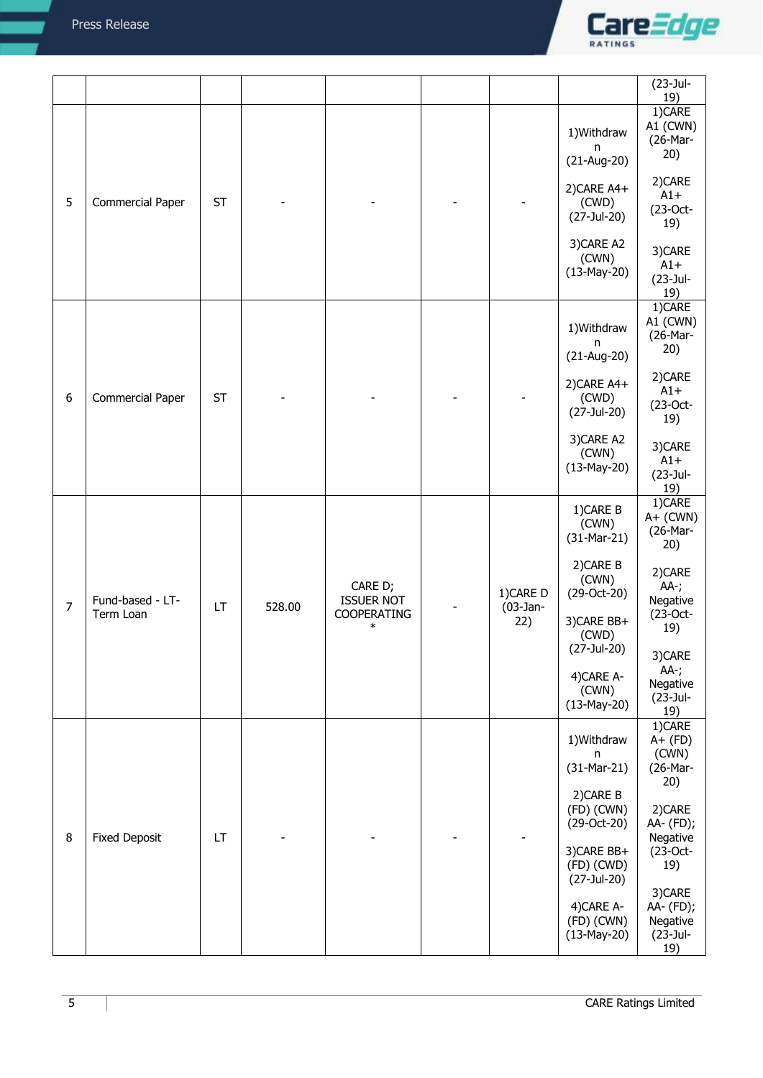

|                |                               |           |        |                                                       |                               |                                                                                                                                                                            | $(23-Jul-$                                                                                                                                                              |
|----------------|-------------------------------|-----------|--------|-------------------------------------------------------|-------------------------------|----------------------------------------------------------------------------------------------------------------------------------------------------------------------------|-------------------------------------------------------------------------------------------------------------------------------------------------------------------------|
| 5              | <b>Commercial Paper</b>       | <b>ST</b> |        |                                                       |                               | 1) Withdraw<br>n<br>$(21-Aug-20)$<br>2) CARE A4+<br>(CWD)<br>(27-Jul-20)                                                                                                   | 19)<br>1)CARE<br>A1 (CWN)<br>(26-Mar-<br>20)<br>2)CARE<br>$A1+$<br>$(23-Oct-$<br>19)                                                                                    |
|                |                               |           |        |                                                       |                               | 3) CARE A2<br>(CWN)<br>$(13-May-20)$                                                                                                                                       | 3)CARE<br>$A1+$<br>(23-Jul-<br>19)                                                                                                                                      |
| 6              | <b>Commercial Paper</b>       | <b>ST</b> |        |                                                       |                               | 1) Withdraw<br>n<br>$(21-Aug-20)$<br>2) CARE A4+<br>(CWD)<br>(27-Jul-20)                                                                                                   | 1)CARE<br>A1 (CWN)<br>(26-Mar-<br>20)<br>2)CARE<br>$A1+$<br>$(23-Oct-$<br>19)                                                                                           |
|                |                               |           |        |                                                       |                               | 3)CARE A2<br>(CWN)<br>$(13-May-20)$                                                                                                                                        | 3)CARE<br>$A1+$<br>(23-Jul-<br>19)                                                                                                                                      |
| $\overline{7}$ | Fund-based - LT-<br>Term Loan | <b>LT</b> | 528.00 | CARE D;<br><b>ISSUER NOT</b><br>COOPERATING<br>$\ast$ | 1)CARE D<br>$(03-Jan-$<br>22) | 1) CARE B<br>(CWN)<br>$(31-Mar-21)$<br>2) CARE B<br>(CWN)<br>(29-Oct-20)<br>3) CARE BB+<br>(CWD)<br>(27-Jul-20)<br>4) CARE A-<br>(CWN)<br>$(13-May-20)$                    | 1)CARE<br>$A+$ (CWN)<br>(26-Mar-<br>20)<br>2)CARE<br>AA-;<br>Negative<br>$(23-Oct-$<br>19)<br>3)CARE<br>$AA$ -;<br>Negative<br>(23-Jul-                                 |
| $\,8\,$        | <b>Fixed Deposit</b>          | LT        |        |                                                       |                               | 1) Withdraw<br>n<br>$(31-Mar-21)$<br>2) CARE B<br>$(FD)$ (CWN)<br>(29-Oct-20)<br>3) CARE BB+<br>$(FD)$ (CWD)<br>(27-Jul-20)<br>4) CARE A-<br>$(FD)$ (CWN)<br>$(13-May-20)$ | 19)<br>1)CARE<br>$A+$ (FD)<br>(CWN)<br>(26-Mar-<br>20)<br>2) CARE<br>AA- (FD);<br>Negative<br>$(23-Oct-$<br>19)<br>3)CARE<br>AA- (FD);<br>Negative<br>$(23-Jul-$<br>19) |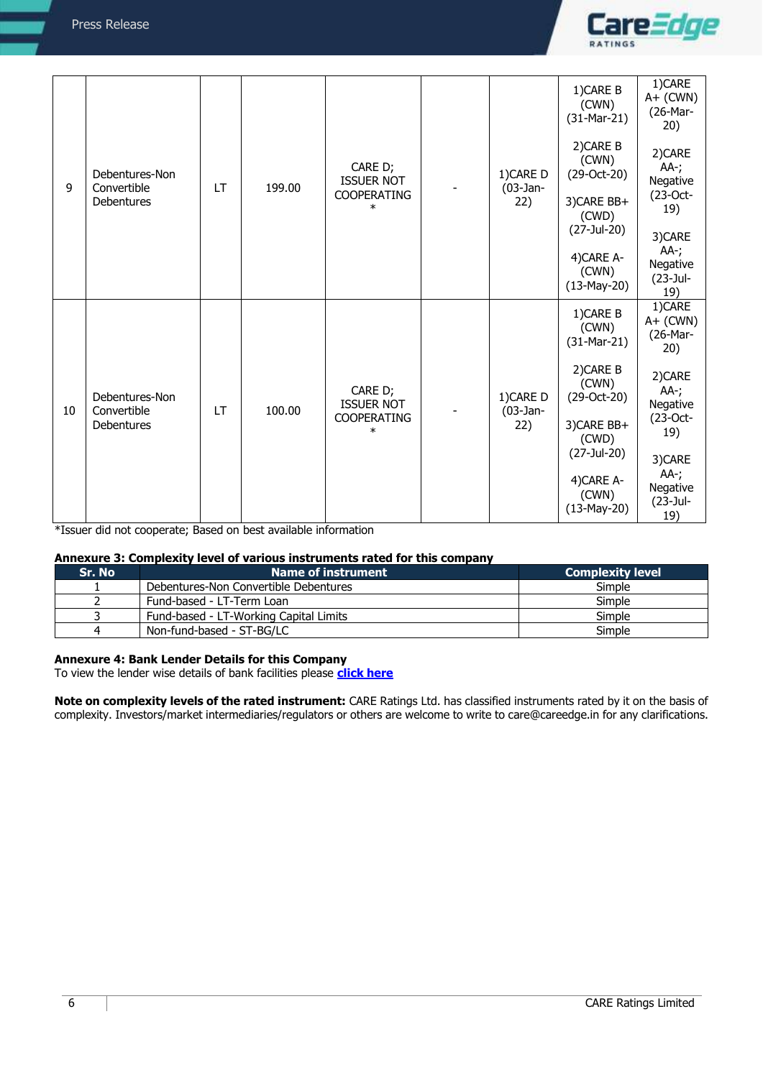

| 9  | Debentures-Non<br>Convertible<br><b>Debentures</b> | LT        | 199.00                | CARE D;<br><b>ISSUER NOT</b><br><b>COOPERATING</b><br>$\ast$ |                               | 1) CARE D<br>$(03$ -Jan-<br>22)     | 1) CARE B<br>(CWN)<br>$(31-Mar-21)$<br>2) CARE B<br>(CWN)<br>$(29-Oct-20)$<br>3) CARE BB+<br>(CWD)<br>(27-Jul-20)<br>4) CARE A- | 1)CARE<br>$A+$ (CWN)<br>(26-Mar-<br>20)<br>2)CARE<br>AA-;<br>Negative<br>$(23$ -Oct-<br>19)<br>3)CARE<br>$AA-;$ |
|----|----------------------------------------------------|-----------|-----------------------|--------------------------------------------------------------|-------------------------------|-------------------------------------|---------------------------------------------------------------------------------------------------------------------------------|-----------------------------------------------------------------------------------------------------------------|
|    |                                                    |           |                       |                                                              |                               |                                     | (CWN)<br>$(13-May-20)$                                                                                                          | Negative<br>$(23-Jul-$<br>19)                                                                                   |
|    |                                                    |           |                       |                                                              |                               |                                     | 1) CARE B<br>(CWN)<br>$(31-Mar-21)$                                                                                             | 1)CARE<br>$A+$ (CWN)<br>(26-Mar-<br>20)                                                                         |
| 10 | Debentures-Non<br>Convertible                      | <b>LT</b> | 100.00                | CARE D;<br><b>ISSUER NOT</b>                                 | 1)CARE D<br>$(03-Jan-$<br>22) | 2) CARE B<br>(CWN)<br>(29-Oct-20)   | 2)CARE<br>$AA$ -;<br>Negative<br>$(23$ -Oct-                                                                                    |                                                                                                                 |
|    | <b>Debentures</b>                                  |           | COOPERATING<br>$\ast$ |                                                              |                               | 3) CARE BB+<br>(CWD)<br>(27-Jul-20) | 19)                                                                                                                             |                                                                                                                 |
|    |                                                    |           |                       |                                                              |                               |                                     | 4) CARE A-<br>(CWN)<br>$(13-May-20)$                                                                                            | 3)CARE<br>$AA-$ ;<br>Negative<br>(23-Jul-<br>19)                                                                |

\*Issuer did not cooperate; Based on best available information

## **Annexure 3: Complexity level of various instruments rated for this company**

| Sr. No l | Name of instrument                     | <b>Complexity level</b> |
|----------|----------------------------------------|-------------------------|
|          | Debentures-Non Convertible Debentures  | Simple                  |
|          | Fund-based - LT-Term Loan              | Simple                  |
|          | Fund-based - LT-Working Capital Limits | Simple                  |
|          | Non-fund-based - ST-BG/LC              | Simple                  |

## **Annexure 4: Bank Lender Details for this Company**

To view the lender wise details of bank facilities please **[click here](https://www.careratings.com/Bankdetails.aspx?Id=SnoKEBVKedFzqIlwJrWfoA==)**

**Note on complexity levels of the rated instrument:** CARE Ratings Ltd. has classified instruments rated by it on the basis of complexity. Investors/market intermediaries/regulators or others are welcome to write to care@careedge.in for any clarifications.